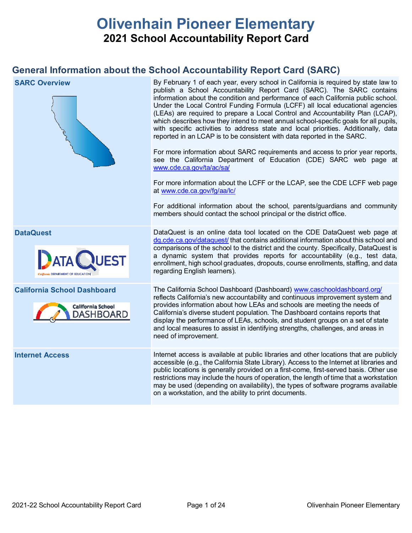# **Olivenhain Pioneer Elementary 2021 School Accountability Report Card**

## **General Information about the School Accountability Report Card (SARC)**

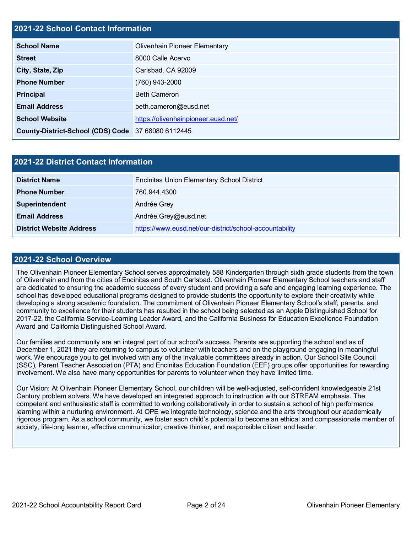## **2021-22 School Contact Information**

| <b>School Name</b>                                 | <b>Olivenhain Pioneer Elementary</b> |
|----------------------------------------------------|--------------------------------------|
| <b>Street</b>                                      | 8000 Calle Acervo                    |
| City, State, Zip                                   | Carlsbad, CA 92009                   |
| <b>Phone Number</b>                                | (760) 943-2000                       |
| <b>Principal</b>                                   | <b>Beth Cameron</b>                  |
| <b>Email Address</b>                               | beth.cameron@eusd.net                |
| <b>School Website</b>                              | https://olivenhainpioneer.eusd.net/  |
| County-District-School (CDS) Code 37 68080 6112445 |                                      |

| 2021-22 District Contact Information |                                                         |  |  |  |
|--------------------------------------|---------------------------------------------------------|--|--|--|
| <b>District Name</b>                 | <b>Encinitas Union Elementary School District</b>       |  |  |  |
| <b>Phone Number</b>                  | 760.944.4300                                            |  |  |  |
| Superintendent                       | Andrée Grey                                             |  |  |  |
| <b>Email Address</b>                 | Andrée.Grey@eusd.net                                    |  |  |  |
| <b>District Website Address</b>      | https://www.eusd.net/our-district/school-accountability |  |  |  |

#### **2021-22 School Overview**

The Olivenhain Pioneer Elementary School serves approximately 588 Kindergarten through sixth grade students from the town of Olivenhain and from the cities of Encinitas and South Carlsbad. Olivenhain Pioneer Elementary School teachers and staff are dedicated to ensuring the academic success of every student and providing a safe and engaging learning experience. The school has developed educational programs designed to provide students the opportunity to explore their creativity while developing a strong academic foundation. The commitment of Olivenhain Pioneer Elementary School's staff, parents, and community to excellence for their students has resulted in the school being selected as an Apple Distinguished School for 2017-22, the California Service-Learning Leader Award, and the California Business for Education Excellence Foundation Award and California Distinguished School Award.

Our families and community are an integral part of our school's success. Parents are supporting the school and as of December 1, 2021 they are returning to campus to volunteer with teachers and on the playground engaging in meaningful work. We encourage you to get involved with any of the invaluable committees already in action. Our School Site Council (SSC), Parent Teacher Association (PTA) and Encinitas Education Foundation (EEF) groups offer opportunities for rewarding involvement. We also have many opportunities for parents to volunteer when they have limited time.

Our Vision: At Olivenhain Pioneer Elementary School, our children will be well-adjusted, self-confident knowledgeable 21st Century problem solvers. We have developed an integrated approach to instruction with our STREAM emphasis. The competent and enthusiastic staff is committed to working collaboratively in order to sustain a school of high performance learning within a nurturing environment. At OPE we integrate technology, science and the arts throughout our academically rigorous program. As a school community, we foster each child's potential to become an ethical and compassionate member of society, life-long learner, effective communicator, creative thinker, and responsible citizen and leader.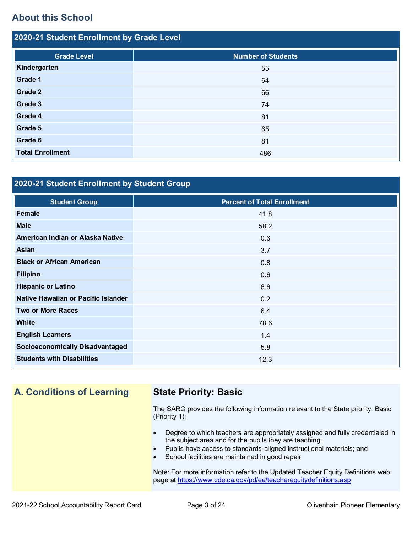## **About this School**

| 2020-21 Student Enrollment by Grade Level |                           |  |  |  |
|-------------------------------------------|---------------------------|--|--|--|
| <b>Grade Level</b>                        | <b>Number of Students</b> |  |  |  |
| Kindergarten                              | 55                        |  |  |  |
| Grade 1                                   | 64                        |  |  |  |
| Grade 2                                   | 66                        |  |  |  |
| Grade 3                                   | 74                        |  |  |  |
| Grade 4                                   | 81                        |  |  |  |
| Grade 5                                   | 65                        |  |  |  |
| Grade 6                                   | 81                        |  |  |  |
| <b>Total Enrollment</b>                   | 486                       |  |  |  |

## **2020-21 Student Enrollment by Student Group**

| <b>Student Group</b>                   | <b>Percent of Total Enrollment</b> |
|----------------------------------------|------------------------------------|
| Female                                 | 41.8                               |
| <b>Male</b>                            | 58.2                               |
| American Indian or Alaska Native       | 0.6                                |
| Asian                                  | 3.7                                |
| <b>Black or African American</b>       | 0.8                                |
| <b>Filipino</b>                        | 0.6                                |
| <b>Hispanic or Latino</b>              | 6.6                                |
| Native Hawaiian or Pacific Islander    | 0.2                                |
| <b>Two or More Races</b>               | 6.4                                |
| White                                  | 78.6                               |
| <b>English Learners</b>                | 1.4                                |
| <b>Socioeconomically Disadvantaged</b> | 5.8                                |
| <b>Students with Disabilities</b>      | 12.3                               |

## **A. Conditions of Learning State Priority: Basic**

The SARC provides the following information relevant to the State priority: Basic (Priority 1):

- Degree to which teachers are appropriately assigned and fully credentialed in the subject area and for the pupils they are teaching;
- Pupils have access to standards-aligned instructional materials; and
- School facilities are maintained in good repair

Note: For more information refer to the Updated Teacher Equity Definitions web page at<https://www.cde.ca.gov/pd/ee/teacherequitydefinitions.asp>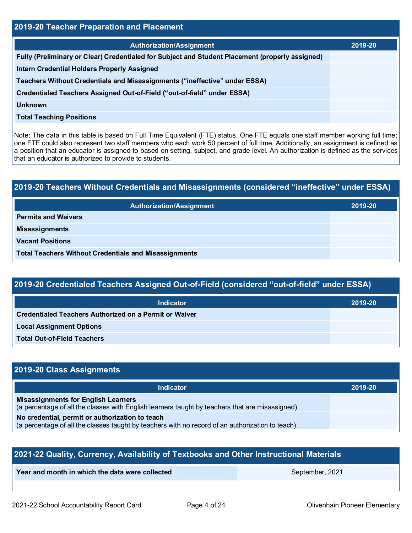| 2019-20 Teacher Preparation and Placement                                                       |         |  |  |
|-------------------------------------------------------------------------------------------------|---------|--|--|
| <b>Authorization/Assignment</b>                                                                 | 2019-20 |  |  |
| Fully (Preliminary or Clear) Credentialed for Subject and Student Placement (properly assigned) |         |  |  |
| <b>Intern Credential Holders Properly Assigned</b>                                              |         |  |  |
| Teachers Without Credentials and Misassignments ("ineffective" under ESSA)                      |         |  |  |
| Credentialed Teachers Assigned Out-of-Field ("out-of-field" under ESSA)                         |         |  |  |
| <b>Unknown</b>                                                                                  |         |  |  |
| <b>Total Teaching Positions</b>                                                                 |         |  |  |

Note: The data in this table is based on Full Time Equivalent (FTE) status. One FTE equals one staff member working full time; one FTE could also represent two staff members who each work 50 percent of full time. Additionally, an assignment is defined as a position that an educator is assigned to based on setting, subject, and grade level. An authorization is defined as the services that an educator is authorized to provide to students.

## **2019-20 Teachers Without Credentials and Misassignments (considered "ineffective" under ESSA)**

| Authorization/Assignment                                     | 2019-20 |
|--------------------------------------------------------------|---------|
| <b>Permits and Waivers</b>                                   |         |
| <b>Misassignments</b>                                        |         |
| <b>Vacant Positions</b>                                      |         |
| <b>Total Teachers Without Credentials and Misassignments</b> |         |

## **2019-20 Credentialed Teachers Assigned Out-of-Field (considered "out-of-field" under ESSA)**

| <b>Indicator</b>                                              | 2019-20 |
|---------------------------------------------------------------|---------|
| <b>Credentialed Teachers Authorized on a Permit or Waiver</b> |         |
| <b>Local Assignment Options</b>                               |         |
| <b>Total Out-of-Field Teachers</b>                            |         |

## **2019-20 Class Assignments**

| <b>Indicator</b>                                                                                                                                    | 2019-20 |
|-----------------------------------------------------------------------------------------------------------------------------------------------------|---------|
| <b>Misassignments for English Learners</b><br>(a percentage of all the classes with English learners taught by teachers that are misassigned)       |         |
| No credential, permit or authorization to teach<br>(a percentage of all the classes taught by teachers with no record of an authorization to teach) |         |

| 2021-22 Quality, Currency, Availability of Textbooks and Other Instructional Materials |  |  |  |  |  |
|----------------------------------------------------------------------------------------|--|--|--|--|--|
| Year and month in which the data were collected<br>September, 2021                     |  |  |  |  |  |
|                                                                                        |  |  |  |  |  |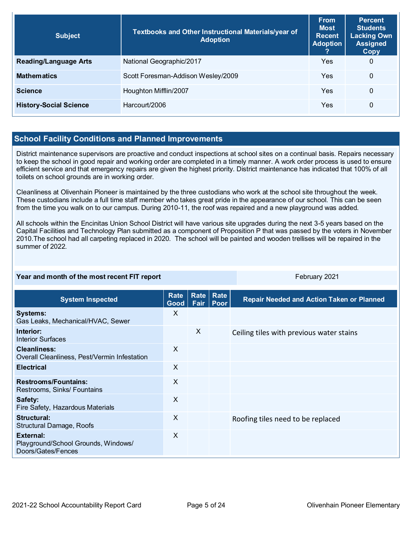| <b>Subject</b>                | Textbooks and Other Instructional Materials/year of<br><b>Adoption</b> | <b>From</b><br><b>Most</b><br><b>Recent</b><br><b>Adoption</b> | <b>Percent</b><br><b>Students</b><br><b>Lacking Own</b><br><b>Assigned</b><br>Copy |
|-------------------------------|------------------------------------------------------------------------|----------------------------------------------------------------|------------------------------------------------------------------------------------|
| <b>Reading/Language Arts</b>  | National Geographic/2017                                               | Yes                                                            | 0                                                                                  |
| <b>Mathematics</b>            | Scott Foresman-Addison Wesley/2009                                     | Yes                                                            | $\Omega$                                                                           |
| <b>Science</b>                | Houghton Mifflin/2007                                                  | Yes                                                            | 0                                                                                  |
| <b>History-Social Science</b> | Harcourt/2006                                                          | Yes                                                            | 0                                                                                  |

## **School Facility Conditions and Planned Improvements**

District maintenance supervisors are proactive and conduct inspections at school sites on a continual basis. Repairs necessary to keep the school in good repair and working order are completed in a timely manner. A work order process is used to ensure efficient service and that emergency repairs are given the highest priority. District maintenance has indicated that 100% of all toilets on school grounds are in working order.

Cleanliness at Olivenhain Pioneer is maintained by the three custodians who work at the school site throughout the week. These custodians include a full time staff member who takes great pride in the appearance of our school. This can be seen from the time you walk on to our campus. During 2010-11, the roof was repaired and a new playground was added.

All schools within the Encinitas Union School District will have various site upgrades during the next 3-5 years based on the Capital Facilities and Technology Plan submitted as a component of Proposition P that was passed by the voters in November 2010.The school had all carpeting replaced in 2020. The school will be painted and wooden trellises will be repaired in the summer of 2022.

#### **Year and month of the most recent FIT report** February 2021

| <b>System Inspected</b>                                                | <b>Rate</b><br>Good | Rate  <br>Fair | Rate<br>Poor | <b>Repair Needed and Action Taken or Planned</b> |
|------------------------------------------------------------------------|---------------------|----------------|--------------|--------------------------------------------------|
| <b>Systems:</b><br>Gas Leaks, Mechanical/HVAC, Sewer                   | X                   |                |              |                                                  |
| Interior:<br><b>Interior Surfaces</b>                                  |                     | X              |              | Ceiling tiles with previous water stains         |
| <b>Cleanliness:</b><br>Overall Cleanliness, Pest/Vermin Infestation    | X                   |                |              |                                                  |
| <b>Electrical</b>                                                      | $\times$            |                |              |                                                  |
| <b>Restrooms/Fountains:</b><br>Restrooms, Sinks/ Fountains             | $\times$            |                |              |                                                  |
| Safety:<br>Fire Safety, Hazardous Materials                            | $\times$            |                |              |                                                  |
| Structural:<br><b>Structural Damage, Roofs</b>                         | X                   |                |              | Roofing tiles need to be replaced                |
| External:<br>Playground/School Grounds, Windows/<br>Doors/Gates/Fences | $\times$            |                |              |                                                  |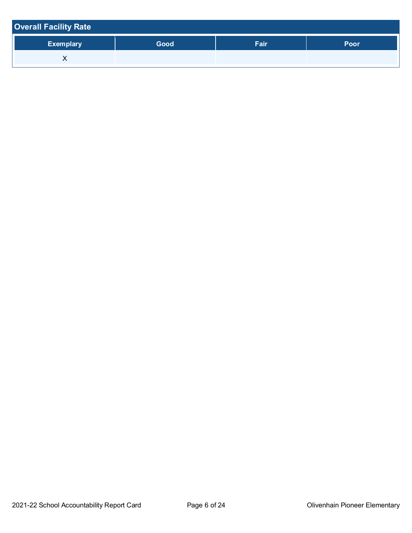| <b>Overall Facility Rate</b> |      |      |             |
|------------------------------|------|------|-------------|
| <b>Exemplary</b>             | Good | Fair | <b>Poor</b> |
|                              |      |      |             |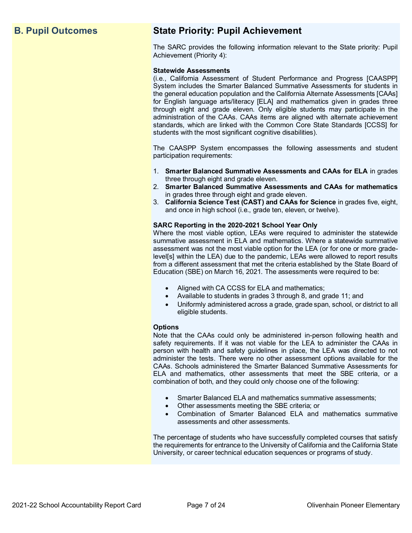## **B. Pupil Outcomes State Priority: Pupil Achievement**

The SARC provides the following information relevant to the State priority: Pupil Achievement (Priority 4):

#### **Statewide Assessments**

(i.e., California Assessment of Student Performance and Progress [CAASPP] System includes the Smarter Balanced Summative Assessments for students in the general education population and the California Alternate Assessments [CAAs] for English language arts/literacy [ELA] and mathematics given in grades three through eight and grade eleven. Only eligible students may participate in the administration of the CAAs. CAAs items are aligned with alternate achievement standards, which are linked with the Common Core State Standards [CCSS] for students with the most significant cognitive disabilities).

The CAASPP System encompasses the following assessments and student participation requirements:

- 1. **Smarter Balanced Summative Assessments and CAAs for ELA** in grades three through eight and grade eleven.
- 2. **Smarter Balanced Summative Assessments and CAAs for mathematics** in grades three through eight and grade eleven.
- 3. **California Science Test (CAST) and CAAs for Science** in grades five, eight, and once in high school (i.e., grade ten, eleven, or twelve).

#### **SARC Reporting in the 2020-2021 School Year Only**

Where the most viable option, LEAs were required to administer the statewide summative assessment in ELA and mathematics. Where a statewide summative assessment was not the most viable option for the LEA (or for one or more gradelevel[s] within the LEA) due to the pandemic, LEAs were allowed to report results from a different assessment that met the criteria established by the State Board of Education (SBE) on March 16, 2021. The assessments were required to be:

- Aligned with CA CCSS for ELA and mathematics;
- Available to students in grades 3 through 8, and grade 11; and
- Uniformly administered across a grade, grade span, school, or district to all eligible students.

#### **Options**

Note that the CAAs could only be administered in-person following health and safety requirements. If it was not viable for the LEA to administer the CAAs in person with health and safety guidelines in place, the LEA was directed to not administer the tests. There were no other assessment options available for the CAAs. Schools administered the Smarter Balanced Summative Assessments for ELA and mathematics, other assessments that meet the SBE criteria, or a combination of both, and they could only choose one of the following:

- Smarter Balanced ELA and mathematics summative assessments;
- Other assessments meeting the SBE criteria; or
- Combination of Smarter Balanced ELA and mathematics summative assessments and other assessments.

The percentage of students who have successfully completed courses that satisfy the requirements for entrance to the University of California and the California State University, or career technical education sequences or programs of study.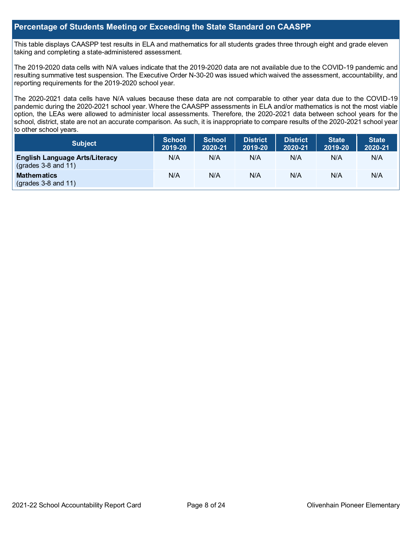## **Percentage of Students Meeting or Exceeding the State Standard on CAASPP**

This table displays CAASPP test results in ELA and mathematics for all students grades three through eight and grade eleven taking and completing a state-administered assessment.

The 2019-2020 data cells with N/A values indicate that the 2019-2020 data are not available due to the COVID-19 pandemic and resulting summative test suspension. The Executive Order N-30-20 was issued which waived the assessment, accountability, and reporting requirements for the 2019-2020 school year.

The 2020-2021 data cells have N/A values because these data are not comparable to other year data due to the COVID-19 pandemic during the 2020-2021 school year. Where the CAASPP assessments in ELA and/or mathematics is not the most viable option, the LEAs were allowed to administer local assessments. Therefore, the 2020-2021 data between school years for the school, district, state are not an accurate comparison. As such, it is inappropriate to compare results of the 2020-2021 school year to other school years.

| <b>Subject</b>                                                       | <b>School</b><br>2019-20 | <b>School</b><br>2020-21 | <b>District</b><br>2019-20 | <b>District</b><br>2020-21 | <b>State</b><br>2019-20 | <b>State</b><br>2020-21 |
|----------------------------------------------------------------------|--------------------------|--------------------------|----------------------------|----------------------------|-------------------------|-------------------------|
| <b>English Language Arts/Literacy</b><br>$\left($ grades 3-8 and 11) | N/A                      | N/A                      | N/A                        | N/A                        | N/A                     | N/A                     |
| <b>Mathematics</b><br>$(grades 3-8 and 11)$                          | N/A                      | N/A                      | N/A                        | N/A                        | N/A                     | N/A                     |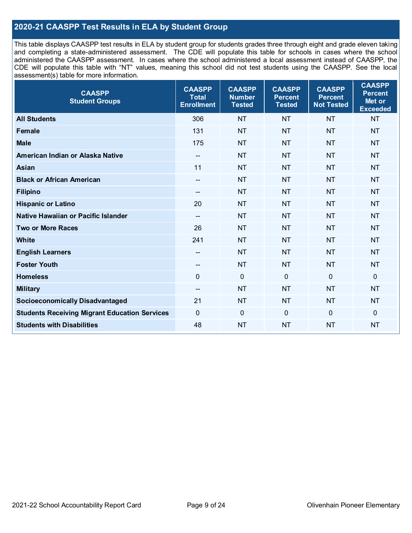## **2020-21 CAASPP Test Results in ELA by Student Group**

This table displays CAASPP test results in ELA by student group for students grades three through eight and grade eleven taking and completing a state-administered assessment. The CDE will populate this table for schools in cases where the school administered the CAASPP assessment. In cases where the school administered a local assessment instead of CAASPP, the CDE will populate this table with "NT" values, meaning this school did not test students using the CAASPP. See the local assessment(s) table for more information.

| <b>CAASPP</b><br><b>Student Groups</b>               | <b>CAASPP</b><br><b>Total</b><br><b>Enrollment</b> | <b>CAASPP</b><br><b>Number</b><br><b>Tested</b> | <b>CAASPP</b><br><b>Percent</b><br><b>Tested</b> | <b>CAASPP</b><br><b>Percent</b><br><b>Not Tested</b> | <b>CAASPP</b><br><b>Percent</b><br>Met or<br><b>Exceeded</b> |
|------------------------------------------------------|----------------------------------------------------|-------------------------------------------------|--------------------------------------------------|------------------------------------------------------|--------------------------------------------------------------|
| <b>All Students</b>                                  | 306                                                | <b>NT</b>                                       | <b>NT</b>                                        | <b>NT</b>                                            | <b>NT</b>                                                    |
| <b>Female</b>                                        | 131                                                | <b>NT</b>                                       | <b>NT</b>                                        | <b>NT</b>                                            | <b>NT</b>                                                    |
| <b>Male</b>                                          | 175                                                | <b>NT</b>                                       | <b>NT</b>                                        | <b>NT</b>                                            | <b>NT</b>                                                    |
| American Indian or Alaska Native                     | $\hspace{0.05cm}$ – $\hspace{0.05cm}$              | <b>NT</b>                                       | <b>NT</b>                                        | <b>NT</b>                                            | <b>NT</b>                                                    |
| <b>Asian</b>                                         | 11                                                 | <b>NT</b>                                       | <b>NT</b>                                        | <b>NT</b>                                            | <b>NT</b>                                                    |
| <b>Black or African American</b>                     | $\overline{\phantom{a}}$                           | <b>NT</b>                                       | <b>NT</b>                                        | <b>NT</b>                                            | <b>NT</b>                                                    |
| <b>Filipino</b>                                      | $\overline{\phantom{a}}$                           | <b>NT</b>                                       | <b>NT</b>                                        | <b>NT</b>                                            | <b>NT</b>                                                    |
| <b>Hispanic or Latino</b>                            | 20                                                 | <b>NT</b>                                       | <b>NT</b>                                        | <b>NT</b>                                            | <b>NT</b>                                                    |
| Native Hawaiian or Pacific Islander                  | $\overline{\phantom{a}}$                           | <b>NT</b>                                       | <b>NT</b>                                        | <b>NT</b>                                            | <b>NT</b>                                                    |
| <b>Two or More Races</b>                             | 26                                                 | <b>NT</b>                                       | <b>NT</b>                                        | <b>NT</b>                                            | <b>NT</b>                                                    |
| <b>White</b>                                         | 241                                                | <b>NT</b>                                       | <b>NT</b>                                        | <b>NT</b>                                            | <b>NT</b>                                                    |
| <b>English Learners</b>                              | $\overline{\phantom{a}}$                           | <b>NT</b>                                       | <b>NT</b>                                        | <b>NT</b>                                            | <b>NT</b>                                                    |
| <b>Foster Youth</b>                                  | $\hspace{0.05cm}$ – $\hspace{0.05cm}$              | <b>NT</b>                                       | <b>NT</b>                                        | <b>NT</b>                                            | <b>NT</b>                                                    |
| <b>Homeless</b>                                      | $\mathbf 0$                                        | $\mathbf 0$                                     | $\mathbf 0$                                      | $\overline{0}$                                       | $\mathbf 0$                                                  |
| <b>Military</b>                                      | $\overline{\phantom{a}}$                           | <b>NT</b>                                       | <b>NT</b>                                        | <b>NT</b>                                            | <b>NT</b>                                                    |
| <b>Socioeconomically Disadvantaged</b>               | 21                                                 | <b>NT</b>                                       | <b>NT</b>                                        | <b>NT</b>                                            | <b>NT</b>                                                    |
| <b>Students Receiving Migrant Education Services</b> | $\mathbf 0$                                        | $\mathbf 0$                                     | $\mathbf 0$                                      | $\mathbf 0$                                          | $\mathbf 0$                                                  |
| <b>Students with Disabilities</b>                    | 48                                                 | <b>NT</b>                                       | <b>NT</b>                                        | <b>NT</b>                                            | <b>NT</b>                                                    |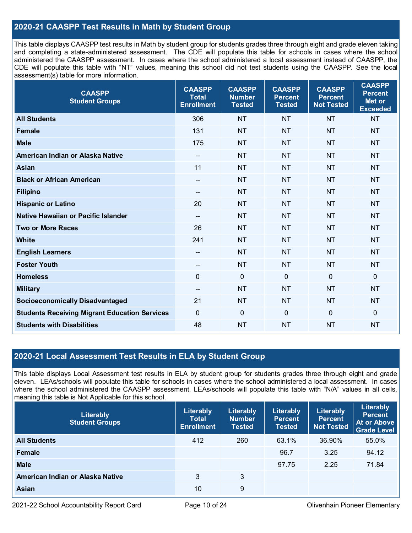## **2020-21 CAASPP Test Results in Math by Student Group**

This table displays CAASPP test results in Math by student group for students grades three through eight and grade eleven taking and completing a state-administered assessment. The CDE will populate this table for schools in cases where the school administered the CAASPP assessment. In cases where the school administered a local assessment instead of CAASPP, the CDE will populate this table with "NT" values, meaning this school did not test students using the CAASPP. See the local assessment(s) table for more information.

| <b>CAASPP</b><br><b>Student Groups</b>               | <b>CAASPP</b><br><b>Total</b><br><b>Enrollment</b> | <b>CAASPP</b><br><b>Number</b><br><b>Tested</b> | <b>CAASPP</b><br><b>Percent</b><br><b>Tested</b> | <b>CAASPP</b><br><b>Percent</b><br><b>Not Tested</b> | <b>CAASPP</b><br><b>Percent</b><br>Met or<br><b>Exceeded</b> |
|------------------------------------------------------|----------------------------------------------------|-------------------------------------------------|--------------------------------------------------|------------------------------------------------------|--------------------------------------------------------------|
| <b>All Students</b>                                  | 306                                                | <b>NT</b>                                       | <b>NT</b>                                        | <b>NT</b>                                            | <b>NT</b>                                                    |
| <b>Female</b>                                        | 131                                                | <b>NT</b>                                       | <b>NT</b>                                        | <b>NT</b>                                            | <b>NT</b>                                                    |
| <b>Male</b>                                          | 175                                                | <b>NT</b>                                       | <b>NT</b>                                        | <b>NT</b>                                            | <b>NT</b>                                                    |
| American Indian or Alaska Native                     | $\overline{\phantom{a}}$                           | <b>NT</b>                                       | <b>NT</b>                                        | <b>NT</b>                                            | <b>NT</b>                                                    |
| <b>Asian</b>                                         | 11                                                 | <b>NT</b>                                       | <b>NT</b>                                        | <b>NT</b>                                            | <b>NT</b>                                                    |
| <b>Black or African American</b>                     | $\overline{\phantom{a}}$                           | <b>NT</b>                                       | <b>NT</b>                                        | <b>NT</b>                                            | <b>NT</b>                                                    |
| <b>Filipino</b>                                      | --                                                 | <b>NT</b>                                       | <b>NT</b>                                        | <b>NT</b>                                            | <b>NT</b>                                                    |
| <b>Hispanic or Latino</b>                            | 20                                                 | <b>NT</b>                                       | <b>NT</b>                                        | <b>NT</b>                                            | <b>NT</b>                                                    |
| <b>Native Hawaiian or Pacific Islander</b>           | --                                                 | <b>NT</b>                                       | <b>NT</b>                                        | <b>NT</b>                                            | <b>NT</b>                                                    |
| <b>Two or More Races</b>                             | 26                                                 | <b>NT</b>                                       | <b>NT</b>                                        | <b>NT</b>                                            | <b>NT</b>                                                    |
| <b>White</b>                                         | 241                                                | <b>NT</b>                                       | <b>NT</b>                                        | <b>NT</b>                                            | <b>NT</b>                                                    |
| <b>English Learners</b>                              | --                                                 | <b>NT</b>                                       | <b>NT</b>                                        | <b>NT</b>                                            | <b>NT</b>                                                    |
| <b>Foster Youth</b>                                  | $-$                                                | <b>NT</b>                                       | <b>NT</b>                                        | <b>NT</b>                                            | <b>NT</b>                                                    |
| <b>Homeless</b>                                      | $\overline{0}$                                     | $\mathbf 0$                                     | $\overline{0}$                                   | $\overline{0}$                                       | $\mathbf 0$                                                  |
| <b>Military</b>                                      | $\hspace{0.05cm}$ – $\hspace{0.05cm}$              | <b>NT</b>                                       | <b>NT</b>                                        | <b>NT</b>                                            | <b>NT</b>                                                    |
| <b>Socioeconomically Disadvantaged</b>               | 21                                                 | <b>NT</b>                                       | <b>NT</b>                                        | <b>NT</b>                                            | <b>NT</b>                                                    |
| <b>Students Receiving Migrant Education Services</b> | $\overline{0}$                                     | $\mathbf 0$                                     | $\mathbf 0$                                      | $\mathbf 0$                                          | $\mathbf 0$                                                  |
| <b>Students with Disabilities</b>                    | 48                                                 | <b>NT</b>                                       | <b>NT</b>                                        | <b>NT</b>                                            | <b>NT</b>                                                    |

## **2020-21 Local Assessment Test Results in ELA by Student Group**

This table displays Local Assessment test results in ELA by student group for students grades three through eight and grade eleven. LEAs/schools will populate this table for schools in cases where the school administered a local assessment. In cases where the school administered the CAASPP assessment, LEAs/schools will populate this table with "N/A" values in all cells, meaning this table is Not Applicable for this school.

| Literably<br><b>Student Groups</b> | Literably<br><b>Total</b><br><b>Enrollment</b> | Literably<br><b>Number</b><br><b>Tested</b> | Literably<br><b>Percent</b><br><b>Tested</b> | Literably<br><b>Percent</b><br><b>Not Tested</b> | Literably<br><b>Percent</b><br>At or Above<br><b>Grade Level</b> |
|------------------------------------|------------------------------------------------|---------------------------------------------|----------------------------------------------|--------------------------------------------------|------------------------------------------------------------------|
| <b>All Students</b>                | 412                                            | 260                                         | 63.1%                                        | 36.90%                                           | 55.0%                                                            |
| Female                             |                                                |                                             | 96.7                                         | 3.25                                             | 94.12                                                            |
| <b>Male</b>                        |                                                |                                             | 97.75                                        | 2.25                                             | 71.84                                                            |
| American Indian or Alaska Native   | 3                                              | 3                                           |                                              |                                                  |                                                                  |
| Asian                              | 10                                             | 9                                           |                                              |                                                  |                                                                  |

2021-22 School Accountability Report Card **Page 10 of 24** Olivenhain Pioneer Elementary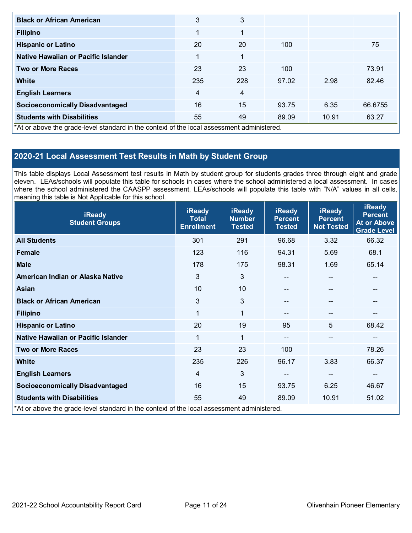| <b>Black or African American</b>                                                           | 3              | 3   |       |       |         |
|--------------------------------------------------------------------------------------------|----------------|-----|-------|-------|---------|
| <b>Filipino</b>                                                                            |                | 1   |       |       |         |
| <b>Hispanic or Latino</b>                                                                  | 20             | 20  | 100   |       | 75      |
| Native Hawaiian or Pacific Islander                                                        | 1              | 1   |       |       |         |
| <b>Two or More Races</b>                                                                   | 23             | 23  | 100   |       | 73.91   |
| White                                                                                      | 235            | 228 | 97.02 | 2.98  | 82.46   |
| <b>English Learners</b>                                                                    | $\overline{4}$ | 4   |       |       |         |
| <b>Socioeconomically Disadvantaged</b>                                                     | 16             | 15  | 93.75 | 6.35  | 66.6755 |
| <b>Students with Disabilities</b>                                                          | 55             | 49  | 89.09 | 10.91 | 63.27   |
| *At or above the grade-level standard in the context of the local assessment administered. |                |     |       |       |         |

# **2020-21 Local Assessment Test Results in Math by Student Group**

This table displays Local Assessment test results in Math by student group for students grades three through eight and grade eleven. LEAs/schools will populate this table for schools in cases where the school administered a local assessment. In cases where the school administered the CAASPP assessment, LEAs/schools will populate this table with "N/A" values in all cells, meaning this table is Not Applicable for this school.

| <b>iReady</b><br><b>Student Groups</b>                                                     | <b>iReady</b><br><b>Total</b><br><b>Enrollment</b> | <b>iReady</b><br><b>Number</b><br><b>Tested</b> | <b>iReady</b><br><b>Percent</b><br><b>Tested</b> | <b>iReady</b><br><b>Percent</b><br><b>Not Tested</b> | <b>iReady</b><br><b>Percent</b><br><b>At or Above</b><br><b>Grade Level</b> |
|--------------------------------------------------------------------------------------------|----------------------------------------------------|-------------------------------------------------|--------------------------------------------------|------------------------------------------------------|-----------------------------------------------------------------------------|
| <b>All Students</b>                                                                        | 301                                                | 291                                             | 96.68                                            | 3.32                                                 | 66.32                                                                       |
| <b>Female</b>                                                                              | 123                                                | 116                                             | 94.31                                            | 5.69                                                 | 68.1                                                                        |
| <b>Male</b>                                                                                | 178                                                | 175                                             | 98.31                                            | 1.69                                                 | 65.14                                                                       |
| American Indian or Alaska Native                                                           | 3                                                  | 3                                               | $\mathbf{m}$                                     | $-$                                                  | $\qquad \qquad \qquad -$                                                    |
| <b>Asian</b>                                                                               | 10                                                 | 10                                              | --                                               | $\qquad \qquad \cdots$                               | --                                                                          |
| <b>Black or African American</b>                                                           | 3                                                  | 3                                               | --                                               | $-$                                                  | --                                                                          |
| <b>Filipino</b>                                                                            | 1                                                  | 1                                               |                                                  | $-$                                                  | --                                                                          |
| <b>Hispanic or Latino</b>                                                                  | 20                                                 | 19                                              | 95                                               | 5                                                    | 68.42                                                                       |
| Native Hawaiian or Pacific Islander                                                        | 1                                                  | 1                                               | $- -$                                            | $\qquad \qquad \cdots$                               | --                                                                          |
| <b>Two or More Races</b>                                                                   | 23                                                 | 23                                              | 100                                              |                                                      | 78.26                                                                       |
| <b>White</b>                                                                               | 235                                                | 226                                             | 96.17                                            | 3.83                                                 | 66.37                                                                       |
| <b>English Learners</b>                                                                    | $\overline{4}$                                     | 3                                               |                                                  | $\qquad \qquad \cdots$                               | --                                                                          |
| <b>Socioeconomically Disadvantaged</b>                                                     | 16                                                 | 15                                              | 93.75                                            | 6.25                                                 | 46.67                                                                       |
| <b>Students with Disabilities</b>                                                          | 55                                                 | 49                                              | 89.09                                            | 10.91                                                | 51.02                                                                       |
| *At or above the grade-level standard in the context of the local assessment administered. |                                                    |                                                 |                                                  |                                                      |                                                                             |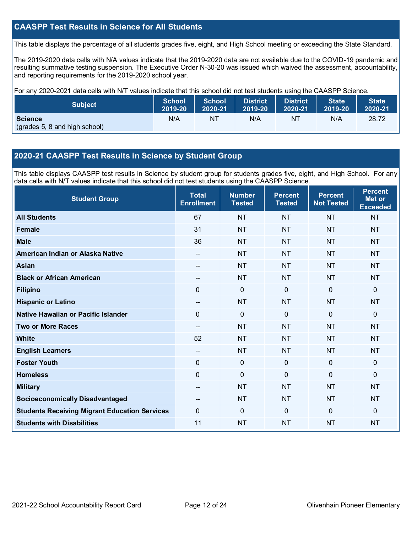## **CAASPP Test Results in Science for All Students**

This table displays the percentage of all students grades five, eight, and High School meeting or exceeding the State Standard.

The 2019-2020 data cells with N/A values indicate that the 2019-2020 data are not available due to the COVID-19 pandemic and resulting summative testing suspension. The Executive Order N-30-20 was issued which waived the assessment, accountability, and reporting requirements for the 2019-2020 school year.

For any 2020-2021 data cells with N/T values indicate that this school did not test students using the CAASPP Science.

| <b>Subject</b>                                  | <b>School</b> | <b>School</b> | <b>District</b> | <b>District</b> | <b>State</b> | <b>State</b> |
|-------------------------------------------------|---------------|---------------|-----------------|-----------------|--------------|--------------|
|                                                 | 2019-20       | 2020-21       | 2019-20         | 2020-21         | 2019-20      | 2020-21      |
| <b>Science</b><br>(grades 5, 8 and high school) | N/A           | <b>NT</b>     | N/A             | NT              | N/A          | 28.72        |

## **2020-21 CAASPP Test Results in Science by Student Group**

This table displays CAASPP test results in Science by student group for students grades five, eight, and High School. For any data cells with N/T values indicate that this school did not test students using the CAASPP Science.

| <b>Student Group</b>                                 | <b>Total</b><br><b>Enrollment</b> | <b>Number</b><br><b>Tested</b> | <b>Percent</b><br><b>Tested</b> | <b>Percent</b><br><b>Not Tested</b> | <b>Percent</b><br>Met or<br><b>Exceeded</b> |
|------------------------------------------------------|-----------------------------------|--------------------------------|---------------------------------|-------------------------------------|---------------------------------------------|
| <b>All Students</b>                                  | 67                                | <b>NT</b>                      | <b>NT</b>                       | <b>NT</b>                           | <b>NT</b>                                   |
| <b>Female</b>                                        | 31                                | <b>NT</b>                      | <b>NT</b>                       | <b>NT</b>                           | <b>NT</b>                                   |
| <b>Male</b>                                          | 36                                | <b>NT</b>                      | <b>NT</b>                       | <b>NT</b>                           | <b>NT</b>                                   |
| American Indian or Alaska Native                     | $\overline{\phantom{a}}$          | <b>NT</b>                      | <b>NT</b>                       | <b>NT</b>                           | <b>NT</b>                                   |
| <b>Asian</b>                                         | --                                | <b>NT</b>                      | <b>NT</b>                       | <b>NT</b>                           | <b>NT</b>                                   |
| <b>Black or African American</b>                     | --                                | <b>NT</b>                      | <b>NT</b>                       | <b>NT</b>                           | <b>NT</b>                                   |
| <b>Filipino</b>                                      | $\Omega$                          | $\mathbf 0$                    | $\mathbf{0}$                    | $\overline{0}$                      | 0                                           |
| <b>Hispanic or Latino</b>                            | --                                | <b>NT</b>                      | <b>NT</b>                       | <b>NT</b>                           | <b>NT</b>                                   |
| Native Hawaiian or Pacific Islander                  | 0                                 | $\mathbf 0$                    | $\mathbf{0}$                    | $\overline{0}$                      | 0                                           |
| <b>Two or More Races</b>                             | $-$                               | <b>NT</b>                      | <b>NT</b>                       | <b>NT</b>                           | <b>NT</b>                                   |
| <b>White</b>                                         | 52                                | <b>NT</b>                      | <b>NT</b>                       | <b>NT</b>                           | <b>NT</b>                                   |
| <b>English Learners</b>                              | $\overline{\phantom{a}}$          | <b>NT</b>                      | <b>NT</b>                       | <b>NT</b>                           | <b>NT</b>                                   |
| <b>Foster Youth</b>                                  | 0                                 | $\mathbf 0$                    | $\mathbf 0$                     | $\overline{0}$                      | 0                                           |
| <b>Homeless</b>                                      | 0                                 | $\pmb{0}$                      | $\mathbf 0$                     | 0                                   | 0                                           |
| <b>Military</b>                                      | --                                | <b>NT</b>                      | <b>NT</b>                       | <b>NT</b>                           | <b>NT</b>                                   |
| <b>Socioeconomically Disadvantaged</b>               |                                   | <b>NT</b>                      | <b>NT</b>                       | <b>NT</b>                           | <b>NT</b>                                   |
| <b>Students Receiving Migrant Education Services</b> | 0                                 | $\mathbf 0$                    | $\mathbf{0}$                    | 0                                   | 0                                           |
| <b>Students with Disabilities</b>                    | 11                                | <b>NT</b>                      | <b>NT</b>                       | <b>NT</b>                           | <b>NT</b>                                   |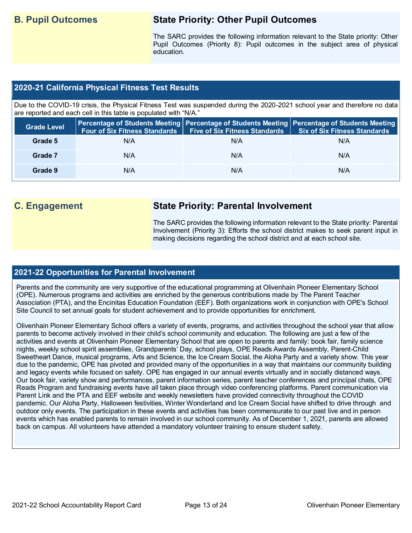## **B. Pupil Outcomes State Priority: Other Pupil Outcomes**

The SARC provides the following information relevant to the State priority: Other Pupil Outcomes (Priority 8): Pupil outcomes in the subject area of physical education.

## **2020-21 California Physical Fitness Test Results**

Due to the COVID-19 crisis, the Physical Fitness Test was suspended during the 2020-2021 school year and therefore no data are reported and each cell in this table is populated with "N/A."

| <b>Grade Level</b> | <b>Four of Six Fitness Standards</b> | Five of Six Fitness Standards   Six of Six Fitness Standards | Percentage of Students Meeting Percentage of Students Meeting Percentage of Students Meeting |
|--------------------|--------------------------------------|--------------------------------------------------------------|----------------------------------------------------------------------------------------------|
| Grade 5            | N/A                                  | N/A                                                          | N/A                                                                                          |
| Grade 7            | N/A                                  | N/A                                                          | N/A                                                                                          |
| Grade 9            | N/A                                  | N/A                                                          | N/A                                                                                          |

## **C. Engagement State Priority: Parental Involvement**

The SARC provides the following information relevant to the State priority: Parental Involvement (Priority 3): Efforts the school district makes to seek parent input in making decisions regarding the school district and at each school site.

## **2021-22 Opportunities for Parental Involvement**

Parents and the community are very supportive of the educational programming at Olivenhain Pioneer Elementary School (OPE). Numerous programs and activities are enriched by the generous contributions made by The Parent Teacher Association (PTA), and the Encinitas Education Foundation (EEF). Both organizations work in conjunction with OPE's School Site Council to set annual goals for student achievement and to provide opportunities for enrichment.

Olivenhain Pioneer Elementary School offers a variety of events, programs, and activities throughout the school year that allow parents to become actively involved in their child's school community and education. The following are just a few of the activities and events at Olivenhain Pioneer Elementary School that are open to parents and family: book fair, family science nights, weekly school spirit assemblies, Grandparents' Day, school plays, OPE Reads Awards Assembly, Parent-Child Sweetheart Dance, musical programs, Arts and Science, the Ice Cream Social, the Aloha Party and a variety show. This year due to the pandemic, OPE has pivoted and provided many of the opportunities in a way that maintains our community building and legacy events while focused on safety. OPE has engaged in our annual events virtually and in socially distanced ways. Our book fair, variety show and performances, parent information series, parent teacher conferences and principal chats, OPE Reads Program and fundraising events have all taken place through video conferencing platforms. Parent communication via Parent Link and the PTA and EEF website and weekly newsletters have provided connectivity throughout the COVID pandemic. Our Aloha Party, Halloween festivities, Winter Wonderland and Ice Cream Social have shifted to drive through and outdoor only events. The participation in these events and activities has been commensurate to our past live and in person events which has enabled parents to remain involved in our school community. As of December 1, 2021, parents are allowed back on campus. All volunteers have attended a mandatory volunteer training to ensure student safety.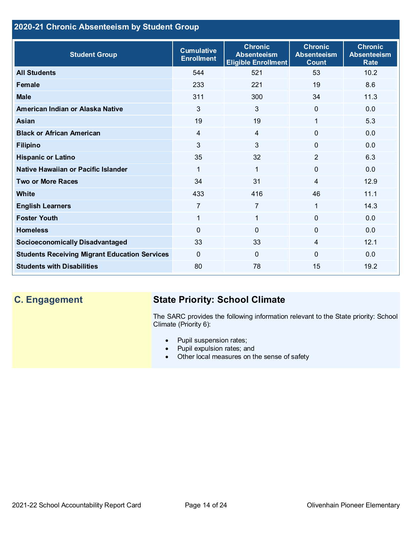## **2020-21 Chronic Absenteeism by Student Group**

| <b>Student Group</b>                                 | <b>Cumulative</b><br><b>Enrollment</b> | <b>Chronic</b><br><b>Absenteeism</b><br><b>Eligible Enrollment</b> | <b>Chronic</b><br><b>Absenteeism</b><br><b>Count</b> | <b>Chronic</b><br><b>Absenteeism</b><br><b>Rate</b> |
|------------------------------------------------------|----------------------------------------|--------------------------------------------------------------------|------------------------------------------------------|-----------------------------------------------------|
| <b>All Students</b>                                  | 544                                    | 521                                                                | 53                                                   | 10.2                                                |
| <b>Female</b>                                        | 233                                    | 221                                                                | 19                                                   | 8.6                                                 |
| <b>Male</b>                                          | 311                                    | 300                                                                | 34                                                   | 11.3                                                |
| American Indian or Alaska Native                     | 3                                      | 3                                                                  | $\mathbf{0}$                                         | 0.0                                                 |
| <b>Asian</b>                                         | 19                                     | 19                                                                 | 1                                                    | 5.3                                                 |
| <b>Black or African American</b>                     | $\overline{4}$                         | $\overline{4}$                                                     | 0                                                    | 0.0                                                 |
| <b>Filipino</b>                                      | 3                                      | 3                                                                  | 0                                                    | 0.0                                                 |
| <b>Hispanic or Latino</b>                            | 35                                     | 32                                                                 | $\overline{2}$                                       | 6.3                                                 |
| Native Hawaiian or Pacific Islander                  | 1                                      | 1                                                                  | 0                                                    | 0.0                                                 |
| <b>Two or More Races</b>                             | 34                                     | 31                                                                 | $\overline{4}$                                       | 12.9                                                |
| <b>White</b>                                         | 433                                    | 416                                                                | 46                                                   | 11.1                                                |
| <b>English Learners</b>                              | $\overline{7}$                         | $\overline{7}$                                                     | 1                                                    | 14.3                                                |
| <b>Foster Youth</b>                                  | $\mathbf{1}$                           | 1                                                                  | $\Omega$                                             | 0.0                                                 |
| <b>Homeless</b>                                      | $\Omega$                               | 0                                                                  | $\Omega$                                             | 0.0                                                 |
| <b>Socioeconomically Disadvantaged</b>               | 33                                     | 33                                                                 | 4                                                    | 12.1                                                |
| <b>Students Receiving Migrant Education Services</b> | $\mathbf{0}$                           | $\mathbf{0}$                                                       | 0                                                    | 0.0                                                 |
| <b>Students with Disabilities</b>                    | 80                                     | 78                                                                 | 15                                                   | 19.2                                                |

## **C. Engagement State Priority: School Climate**

The SARC provides the following information relevant to the State priority: School Climate (Priority 6):

- Pupil suspension rates;
- Pupil expulsion rates; and
- Other local measures on the sense of safety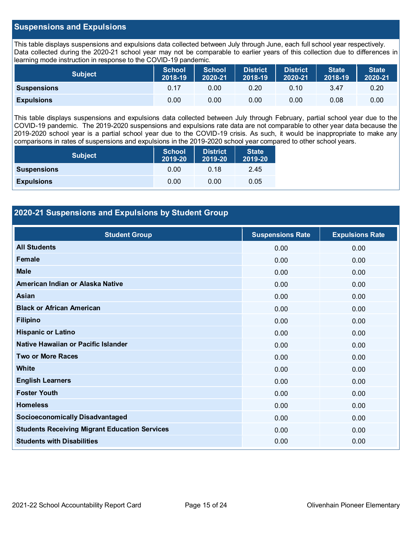## **Suspensions and Expulsions**

This table displays suspensions and expulsions data collected between July through June, each full school year respectively. Data collected during the 2020-21 school year may not be comparable to earlier years of this collection due to differences in learning mode instruction in response to the COVID-19 pandemic.

| <b>Subject</b>     | <b>School</b><br>2018-19 | <b>School</b><br>2020-21 | <b>District</b><br>2018-19 | District<br>2020-21 | <b>State</b><br>2018-19 | <b>State</b><br>2020-21 |
|--------------------|--------------------------|--------------------------|----------------------------|---------------------|-------------------------|-------------------------|
| <b>Suspensions</b> | 0.17                     | 0.00                     | 0.20                       | 0.10                | 3.47                    | 0.20                    |
| <b>Expulsions</b>  | 0.00                     | 0.00                     | 0.00                       | 0.00                | 0.08                    | 0.00                    |

This table displays suspensions and expulsions data collected between July through February, partial school year due to the COVID-19 pandemic. The 2019-2020 suspensions and expulsions rate data are not comparable to other year data because the 2019-2020 school year is a partial school year due to the COVID-19 crisis. As such, it would be inappropriate to make any comparisons in rates of suspensions and expulsions in the 2019-2020 school year compared to other school years.

| <b>Subject</b>     | <b>School</b><br>2019-20 | <b>District</b><br>2019-20 | <b>State</b><br>2019-20 |
|--------------------|--------------------------|----------------------------|-------------------------|
| <b>Suspensions</b> | 0.00                     | 0.18                       | 2.45                    |
| <b>Expulsions</b>  | 0.00                     | 0.00                       | 0.05                    |

## **2020-21 Suspensions and Expulsions by Student Group**

| <b>Student Group</b>                                 | <b>Suspensions Rate</b> | <b>Expulsions Rate</b> |
|------------------------------------------------------|-------------------------|------------------------|
| <b>All Students</b>                                  | 0.00                    | 0.00                   |
| Female                                               | 0.00                    | 0.00                   |
| <b>Male</b>                                          | 0.00                    | 0.00                   |
| American Indian or Alaska Native                     | 0.00                    | 0.00                   |
| Asian                                                | 0.00                    | 0.00                   |
| <b>Black or African American</b>                     | 0.00                    | 0.00                   |
| <b>Filipino</b>                                      | 0.00                    | 0.00                   |
| <b>Hispanic or Latino</b>                            | 0.00                    | 0.00                   |
| Native Hawaiian or Pacific Islander                  | 0.00                    | 0.00                   |
| <b>Two or More Races</b>                             | 0.00                    | 0.00                   |
| White                                                | 0.00                    | 0.00                   |
| <b>English Learners</b>                              | 0.00                    | 0.00                   |
| <b>Foster Youth</b>                                  | 0.00                    | 0.00                   |
| <b>Homeless</b>                                      | 0.00                    | 0.00                   |
| <b>Socioeconomically Disadvantaged</b>               | 0.00                    | 0.00                   |
| <b>Students Receiving Migrant Education Services</b> | 0.00                    | 0.00                   |
| <b>Students with Disabilities</b>                    | 0.00                    | 0.00                   |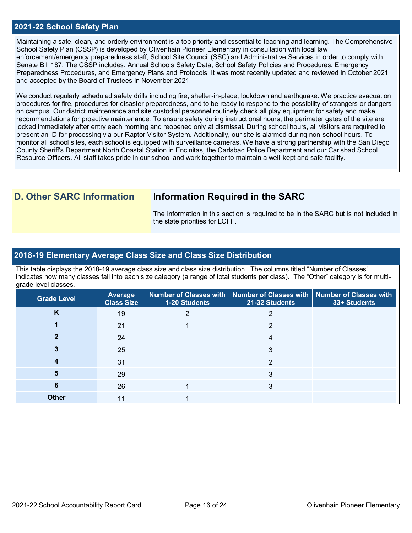### **2021-22 School Safety Plan**

Maintaining a safe, clean, and orderly environment is a top priority and essential to teaching and learning. The Comprehensive School Safety Plan (CSSP) is developed by Olivenhain Pioneer Elementary in consultation with local law enforcement/emergency preparedness staff, School Site Council (SSC) and Administrative Services in order to comply with Senate Bill 187. The CSSP includes: Annual Schools Safety Data, School Safety Policies and Procedures, Emergency Preparedness Procedures, and Emergency Plans and Protocols. It was most recently updated and reviewed in October 2021 and accepted by the Board of Trustees in November 2021.

We conduct regularly scheduled safety drills including fire, shelter-in-place, lockdown and earthquake. We practice evacuation procedures for fire, procedures for disaster preparedness, and to be ready to respond to the possibility of strangers or dangers on campus. Our district maintenance and site custodial personnel routinely check all play equipment for safety and make recommendations for proactive maintenance. To ensure safety during instructional hours, the perimeter gates of the site are locked immediately after entry each morning and reopened only at dismissal. During school hours, all visitors are required to present an ID for processing via our Raptor Visitor System. Additionally, our site is alarmed during non-school hours. To monitor all school sites, each school is equipped with surveillance cameras. We have a strong partnership with the San Diego County Sheriff's Department North Coastal Station in Encinitas, the Carlsbad Police Department and our Carlsbad School Resource Officers. All staff takes pride in our school and work together to maintain a well-kept and safe facility.

## **D. Other SARC Information Information Required in the SARC**

The information in this section is required to be in the SARC but is not included in the state priorities for LCFF.

### **2018-19 Elementary Average Class Size and Class Size Distribution**

This table displays the 2018-19 average class size and class size distribution. The columns titled "Number of Classes" indicates how many classes fall into each size category (a range of total students per class). The "Other" category is for multigrade level classes.

| <b>Grade Level</b> | <b>Average</b><br><b>Class Size</b> | 1-20 Students | Number of Classes with   Number of Classes with   Number of Classes with<br>21-32 Students | 33+ Students |
|--------------------|-------------------------------------|---------------|--------------------------------------------------------------------------------------------|--------------|
| κ                  | 19                                  |               |                                                                                            |              |
|                    | 21                                  |               | ົ                                                                                          |              |
|                    | 24                                  |               |                                                                                            |              |
|                    | 25                                  |               | 3                                                                                          |              |
|                    | 31                                  |               | ⌒                                                                                          |              |
|                    | 29                                  |               | 3                                                                                          |              |
| 6                  | 26                                  |               | 3                                                                                          |              |
| <b>Other</b>       |                                     |               |                                                                                            |              |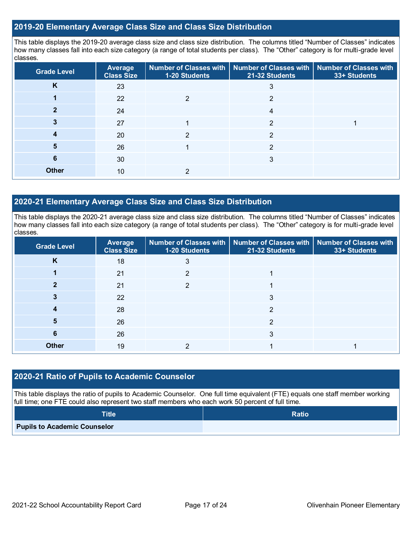### **2019-20 Elementary Average Class Size and Class Size Distribution**

This table displays the 2019-20 average class size and class size distribution. The columns titled "Number of Classes" indicates how many classes fall into each size category (a range of total students per class). The "Other" category is for multi-grade level classes.

| <b>Grade Level</b> | Average<br><b>Class Size</b> | 1-20 Students | Number of Classes with   Number of Classes with   Number of Classes with<br>21-32 Students | 33+ Students |
|--------------------|------------------------------|---------------|--------------------------------------------------------------------------------------------|--------------|
| K                  | 23                           |               | 3                                                                                          |              |
|                    | 22                           | າ             | າ                                                                                          |              |
|                    | 24                           |               | 4                                                                                          |              |
|                    | 27                           |               | 2                                                                                          |              |
|                    | 20                           | $\mathcal{P}$ | $\mathcal{P}$                                                                              |              |
| 5                  | 26                           |               | າ                                                                                          |              |
| 6                  | 30                           |               | 3                                                                                          |              |
| <b>Other</b>       | 10                           | ົ             |                                                                                            |              |

## **2020-21 Elementary Average Class Size and Class Size Distribution**

This table displays the 2020-21 average class size and class size distribution. The columns titled "Number of Classes" indicates how many classes fall into each size category (a range of total students per class). The "Other" category is for multi-grade level classes.

| <b>Grade Level</b> | Average<br><b>Class Size</b> | 1-20 Students | Number of Classes with   Number of Classes with   Number of Classes with<br>21-32 Students | 33+ Students |
|--------------------|------------------------------|---------------|--------------------------------------------------------------------------------------------|--------------|
| K                  | 18                           | 3             |                                                                                            |              |
|                    | 21                           | っ             |                                                                                            |              |
|                    | 21                           | າ             |                                                                                            |              |
|                    | 22                           |               | 3                                                                                          |              |
|                    | 28                           |               | ⌒                                                                                          |              |
| b                  | 26                           |               | າ                                                                                          |              |
| 6                  | 26                           |               | 3                                                                                          |              |
| <b>Other</b>       | 19                           |               |                                                                                            |              |

## **2020-21 Ratio of Pupils to Academic Counselor**

This table displays the ratio of pupils to Academic Counselor. One full time equivalent (FTE) equals one staff member working full time; one FTE could also represent two staff members who each work 50 percent of full time.

| <b>Title</b>                        | <b>Ratio</b> |
|-------------------------------------|--------------|
| <b>Pupils to Academic Counselor</b> |              |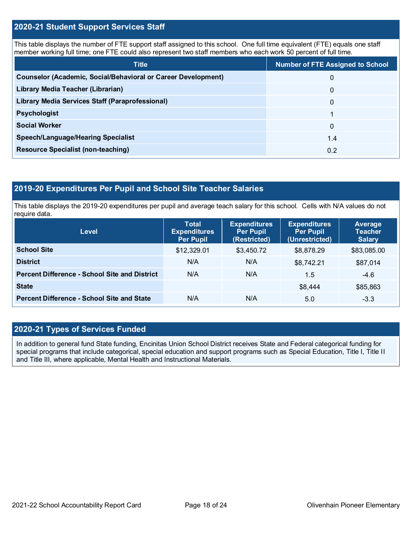## **2020-21 Student Support Services Staff**

This table displays the number of FTE support staff assigned to this school. One full time equivalent (FTE) equals one staff member working full time; one FTE could also represent two staff members who each work 50 percent of full time.

| <b>Title</b>                                                  | <b>Number of FTE Assigned to School</b> |
|---------------------------------------------------------------|-----------------------------------------|
| Counselor (Academic, Social/Behavioral or Career Development) | 0                                       |
| Library Media Teacher (Librarian)                             | 0                                       |
| Library Media Services Staff (Paraprofessional)               | 0                                       |
| <b>Psychologist</b>                                           |                                         |
| <b>Social Worker</b>                                          | $\Omega$                                |
| <b>Speech/Language/Hearing Specialist</b>                     | 1.4                                     |
| <b>Resource Specialist (non-teaching)</b>                     | 0.2                                     |

## **2019-20 Expenditures Per Pupil and School Site Teacher Salaries**

This table displays the 2019-20 expenditures per pupil and average teach salary for this school. Cells with N/A values do not require data.

| <b>Level</b>                                         | <b>Total</b><br><b>Expenditures</b><br><b>Per Pupil</b> | <b>Expenditures</b><br><b>Per Pupil</b><br>(Restricted) | <b>Expenditures</b><br><b>Per Pupil</b><br>(Unrestricted) | Average<br><b>Teacher</b><br><b>Salary</b> |
|------------------------------------------------------|---------------------------------------------------------|---------------------------------------------------------|-----------------------------------------------------------|--------------------------------------------|
| <b>School Site</b>                                   | \$12,329.01                                             | \$3,450.72                                              | \$8,878.29                                                | \$83,085.00                                |
| <b>District</b>                                      | N/A                                                     | N/A                                                     | \$8,742.21                                                | \$87,014                                   |
| <b>Percent Difference - School Site and District</b> | N/A                                                     | N/A                                                     | 1.5                                                       | $-4.6$                                     |
| <b>State</b>                                         |                                                         |                                                         | \$8,444                                                   | \$85,863                                   |
| <b>Percent Difference - School Site and State</b>    | N/A                                                     | N/A                                                     | 5.0                                                       | $-3.3$                                     |

## **2020-21 Types of Services Funded**

In addition to general fund State funding, Encinitas Union School District receives State and Federal categorical funding for special programs that include categorical, special education and support programs such as Special Education, Title I, Title II and Title III, where applicable, Mental Health and Instructional Materials.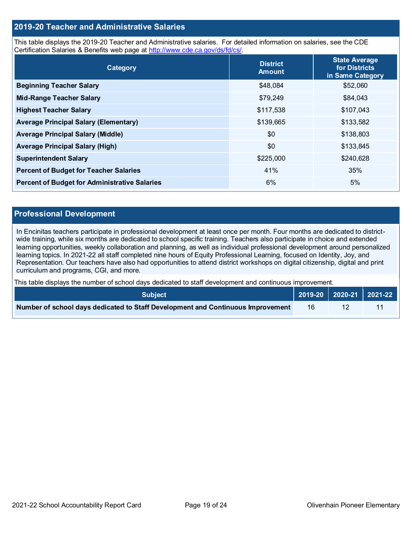## **2019-20 Teacher and Administrative Salaries**

This table displays the 2019-20 Teacher and Administrative salaries. For detailed information on salaries, see the CDE Certification Salaries & Benefits web page at [http://www.cde.ca.gov/ds/fd/cs/.](http://www.cde.ca.gov/ds/fd/cs/)

| Category                                             | <b>District</b><br><b>Amount</b> | <b>State Average</b><br>for Districts<br>in Same Category |
|------------------------------------------------------|----------------------------------|-----------------------------------------------------------|
| <b>Beginning Teacher Salary</b>                      | \$48,084                         | \$52,060                                                  |
| <b>Mid-Range Teacher Salary</b>                      | \$79,249                         | \$84,043                                                  |
| <b>Highest Teacher Salary</b>                        | \$117,538                        | \$107,043                                                 |
| <b>Average Principal Salary (Elementary)</b>         | \$139,665                        | \$133,582                                                 |
| <b>Average Principal Salary (Middle)</b>             | \$0                              | \$138,803                                                 |
| <b>Average Principal Salary (High)</b>               | \$0                              | \$133,845                                                 |
| <b>Superintendent Salary</b>                         | \$225,000                        | \$240,628                                                 |
| <b>Percent of Budget for Teacher Salaries</b>        | 41%                              | 35%                                                       |
| <b>Percent of Budget for Administrative Salaries</b> | 6%                               | 5%                                                        |

#### **Professional Development**

In Encinitas teachers participate in professional development at least once per month. Four months are dedicated to districtwide training, while six months are dedicated to school specific training. Teachers also participate in choice and extended learning opportunities, weekly collaboration and planning, as well as individual professional development around personalized learning topics. In 2021-22 all staff completed nine hours of Equity Professional Learning, focused on Identity, Joy, and Representation. Our teachers have also had opportunities to attend district workshops on digital citizenship, digital and print curriculum and programs, CGI, and more.

This table displays the number of school days dedicated to staff development and continuous improvement.

| <b>Subiect</b> \                                                                |    |  |
|---------------------------------------------------------------------------------|----|--|
| Number of school days dedicated to Staff Development and Continuous Improvement | 16 |  |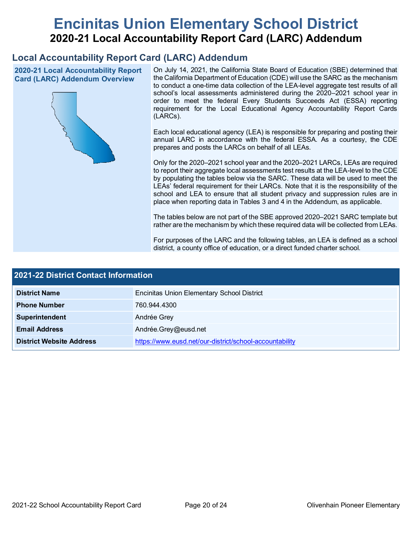# **Encinitas Union Elementary School District 2020-21 Local Accountability Report Card (LARC) Addendum**

## **Local Accountability Report Card (LARC) Addendum**

**2020-21 Local Accountability Report Card (LARC) Addendum Overview**



On July 14, 2021, the California State Board of Education (SBE) determined that the California Department of Education (CDE) will use the SARC as the mechanism to conduct a one-time data collection of the LEA-level aggregate test results of all school's local assessments administered during the 2020–2021 school year in order to meet the federal Every Students Succeeds Act (ESSA) reporting requirement for the Local Educational Agency Accountability Report Cards (LARCs).

Each local educational agency (LEA) is responsible for preparing and posting their annual LARC in accordance with the federal ESSA. As a courtesy, the CDE prepares and posts the LARCs on behalf of all LEAs.

Only for the 2020–2021 school year and the 2020–2021 LARCs, LEAs are required to report their aggregate local assessments test results at the LEA-level to the CDE by populating the tables below via the SARC. These data will be used to meet the LEAs' federal requirement for their LARCs. Note that it is the responsibility of the school and LEA to ensure that all student privacy and suppression rules are in place when reporting data in Tables 3 and 4 in the Addendum, as applicable.

The tables below are not part of the SBE approved 2020–2021 SARC template but rather are the mechanism by which these required data will be collected from LEAs.

For purposes of the LARC and the following tables, an LEA is defined as a school district, a county office of education, or a direct funded charter school.

| <b>2021-22 District Contact Information</b> |                                                         |  |  |  |
|---------------------------------------------|---------------------------------------------------------|--|--|--|
| <b>District Name</b>                        | <b>Encinitas Union Elementary School District</b>       |  |  |  |
| <b>Phone Number</b>                         | 760.944.4300                                            |  |  |  |
| Superintendent                              | Andrée Grey                                             |  |  |  |
| <b>Email Address</b>                        | Andrée.Grey@eusd.net                                    |  |  |  |
| <b>District Website Address</b>             | https://www.eusd.net/our-district/school-accountability |  |  |  |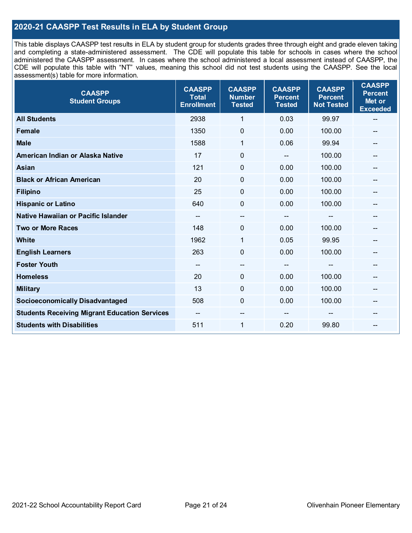## **2020-21 CAASPP Test Results in ELA by Student Group**

This table displays CAASPP test results in ELA by student group for students grades three through eight and grade eleven taking and completing a state-administered assessment. The CDE will populate this table for schools in cases where the school administered the CAASPP assessment. In cases where the school administered a local assessment instead of CAASPP, the CDE will populate this table with "NT" values, meaning this school did not test students using the CAASPP. See the local assessment(s) table for more information.

| <b>CAASPP</b><br><b>Student Groups</b>               | <b>CAASPP</b><br><b>Total</b><br><b>Enrollment</b> | <b>CAASPP</b><br><b>Number</b><br><b>Tested</b> | <b>CAASPP</b><br><b>Percent</b><br><b>Tested</b> | <b>CAASPP</b><br><b>Percent</b><br><b>Not Tested</b> | <b>CAASPP</b><br><b>Percent</b><br>Met or<br><b>Exceeded</b> |
|------------------------------------------------------|----------------------------------------------------|-------------------------------------------------|--------------------------------------------------|------------------------------------------------------|--------------------------------------------------------------|
| <b>All Students</b>                                  | 2938                                               | 1                                               | 0.03                                             | 99.97                                                | --                                                           |
| <b>Female</b>                                        | 1350                                               | $\pmb{0}$                                       | 0.00                                             | 100.00                                               |                                                              |
| <b>Male</b>                                          | 1588                                               | 1                                               | 0.06                                             | 99.94                                                | $\qquad \qquad \qquad \qquad$                                |
| American Indian or Alaska Native                     | 17                                                 | $\mathbf 0$                                     | $-$                                              | 100.00                                               | --                                                           |
| <b>Asian</b>                                         | 121                                                | 0                                               | 0.00                                             | 100.00                                               | --                                                           |
| <b>Black or African American</b>                     | 20                                                 | $\mathbf 0$                                     | 0.00                                             | 100.00                                               |                                                              |
| <b>Filipino</b>                                      | 25                                                 | $\mathbf 0$                                     | 0.00                                             | 100.00                                               |                                                              |
| <b>Hispanic or Latino</b>                            | 640                                                | $\mathbf 0$                                     | 0.00                                             | 100.00                                               | $\qquad \qquad \blacksquare$                                 |
| Native Hawaiian or Pacific Islander                  | --                                                 | --                                              | $\qquad \qquad \qquad \qquad$                    | --                                                   | $\qquad \qquad \qquad \qquad$                                |
| <b>Two or More Races</b>                             | 148                                                | 0                                               | 0.00                                             | 100.00                                               | --                                                           |
| <b>White</b>                                         | 1962                                               | 1                                               | 0.05                                             | 99.95                                                |                                                              |
| <b>English Learners</b>                              | 263                                                | $\mathbf 0$                                     | 0.00                                             | 100.00                                               |                                                              |
| <b>Foster Youth</b>                                  | $\sim$ $\sim$                                      | $\hspace{0.05cm}$ – $\hspace{0.05cm}$           | $\hspace{0.05cm}$ – $\hspace{0.05cm}$            | $-$                                                  | --                                                           |
| <b>Homeless</b>                                      | 20                                                 | $\pmb{0}$                                       | 0.00                                             | 100.00                                               | --                                                           |
| <b>Military</b>                                      | 13                                                 | 0                                               | 0.00                                             | 100.00                                               | --                                                           |
| <b>Socioeconomically Disadvantaged</b>               | 508                                                | $\Omega$                                        | 0.00                                             | 100.00                                               | $\qquad \qquad \qquad \qquad$                                |
| <b>Students Receiving Migrant Education Services</b> |                                                    | --                                              |                                                  |                                                      |                                                              |
| <b>Students with Disabilities</b>                    | 511                                                | $\mathbf{1}$                                    | 0.20                                             | 99.80                                                | $\qquad \qquad \qquad \qquad$                                |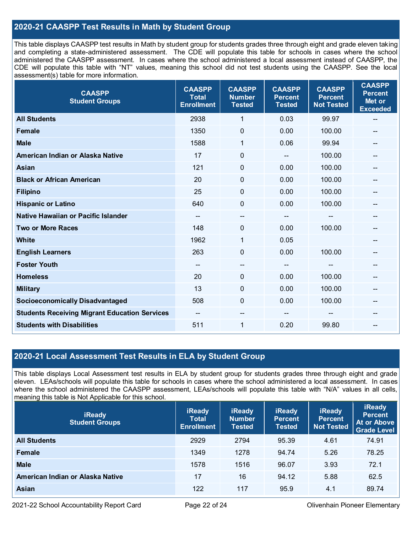## **2020-21 CAASPP Test Results in Math by Student Group**

This table displays CAASPP test results in Math by student group for students grades three through eight and grade eleven taking and completing a state-administered assessment. The CDE will populate this table for schools in cases where the school administered the CAASPP assessment. In cases where the school administered a local assessment instead of CAASPP, the CDE will populate this table with "NT" values, meaning this school did not test students using the CAASPP. See the local assessment(s) table for more information.

| <b>CAASPP</b><br><b>Student Groups</b>               | <b>CAASPP</b><br><b>Total</b><br><b>Enrollment</b> | <b>CAASPP</b><br><b>Number</b><br><b>Tested</b> | <b>CAASPP</b><br><b>Percent</b><br><b>Tested</b> | <b>CAASPP</b><br><b>Percent</b><br><b>Not Tested</b> | <b>CAASPP</b><br><b>Percent</b><br>Met or<br><b>Exceeded</b> |
|------------------------------------------------------|----------------------------------------------------|-------------------------------------------------|--------------------------------------------------|------------------------------------------------------|--------------------------------------------------------------|
| <b>All Students</b>                                  | 2938                                               | $\mathbf{1}$                                    | 0.03                                             | 99.97                                                | --                                                           |
| <b>Female</b>                                        | 1350                                               | $\mathbf 0$                                     | 0.00                                             | 100.00                                               |                                                              |
| <b>Male</b>                                          | 1588                                               | 1                                               | 0.06                                             | 99.94                                                | $-$                                                          |
| American Indian or Alaska Native                     | 17                                                 | 0                                               | --                                               | 100.00                                               | --                                                           |
| <b>Asian</b>                                         | 121                                                | 0                                               | 0.00                                             | 100.00                                               | --                                                           |
| <b>Black or African American</b>                     | 20                                                 | $\mathbf{0}$                                    | 0.00                                             | 100.00                                               |                                                              |
| <b>Filipino</b>                                      | 25                                                 | $\mathbf 0$                                     | 0.00                                             | 100.00                                               |                                                              |
| <b>Hispanic or Latino</b>                            | 640                                                | 0                                               | 0.00                                             | 100.00                                               | $\overline{\phantom{a}}$                                     |
| Native Hawaiian or Pacific Islander                  | $\overline{\phantom{a}}$                           | --                                              | --                                               | --                                                   | --                                                           |
| <b>Two or More Races</b>                             | 148                                                | 0                                               | 0.00                                             | 100.00                                               | --                                                           |
| <b>White</b>                                         | 1962                                               | 1                                               | 0.05                                             |                                                      |                                                              |
| <b>English Learners</b>                              | 263                                                | $\mathbf 0$                                     | 0.00                                             | 100.00                                               |                                                              |
| <b>Foster Youth</b>                                  | $\overline{\phantom{a}}$                           | $\hspace{0.05cm}$ – $\hspace{0.05cm}$           | $\overline{\phantom{a}}$                         | $\hspace{0.05cm}$ – $\hspace{0.05cm}$                | --                                                           |
| <b>Homeless</b>                                      | 20                                                 | $\mathbf 0$                                     | 0.00                                             | 100.00                                               | --                                                           |
| <b>Military</b>                                      | 13                                                 | $\mathbf 0$                                     | 0.00                                             | 100.00                                               |                                                              |
| <b>Socioeconomically Disadvantaged</b>               | 508                                                | 0                                               | 0.00                                             | 100.00                                               | --                                                           |
| <b>Students Receiving Migrant Education Services</b> | $\overline{\phantom{a}}$                           | --                                              |                                                  |                                                      |                                                              |
| <b>Students with Disabilities</b>                    | 511                                                | 1                                               | 0.20                                             | 99.80                                                | $-$                                                          |

## **2020-21 Local Assessment Test Results in ELA by Student Group**

This table displays Local Assessment test results in ELA by student group for students grades three through eight and grade eleven. LEAs/schools will populate this table for schools in cases where the school administered a local assessment. In cases where the school administered the CAASPP assessment, LEAs/schools will populate this table with "N/A" values in all cells, meaning this table is Not Applicable for this school.

| <b>iReady</b><br><b>Student Groups</b> | <b>iReady</b><br><b>Total</b><br><b>Enrollment</b> | <b>iReady</b><br><b>Number</b><br><b>Tested</b> | <b>iReady</b><br><b>Percent</b><br><b>Tested</b> | <b>iReady</b><br><b>Percent</b><br><b>Not Tested</b> | <b>iReady</b><br><b>Percent</b><br>At or Above<br><b>Grade Level</b> |
|----------------------------------------|----------------------------------------------------|-------------------------------------------------|--------------------------------------------------|------------------------------------------------------|----------------------------------------------------------------------|
| <b>All Students</b>                    | 2929                                               | 2794                                            | 95.39                                            | 4.61                                                 | 74.91                                                                |
| Female                                 | 1349                                               | 1278                                            | 94.74                                            | 5.26                                                 | 78.25                                                                |
| <b>Male</b>                            | 1578                                               | 1516                                            | 96.07                                            | 3.93                                                 | 72.1                                                                 |
| American Indian or Alaska Native       | 17                                                 | 16                                              | 94.12                                            | 5.88                                                 | 62.5                                                                 |
| <b>Asian</b>                           | 122                                                | 117                                             | 95.9                                             | 4.1                                                  | 89.74                                                                |

2021-22 School Accountability Report Card **Page 22 of 24** Olivenhain Pioneer Elementary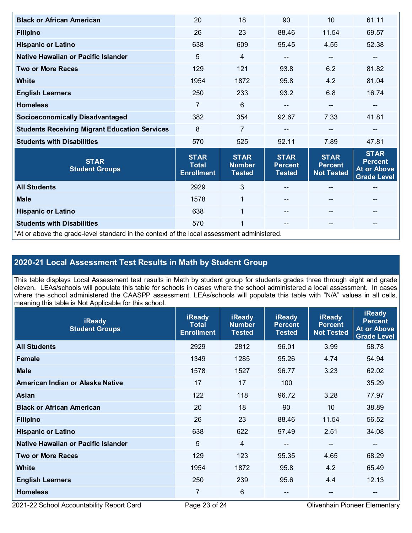| <b>Black or African American</b>                                                           | 20                                               | 18                                            | 90                                             | 10                                                 | 61.11                                                              |  |
|--------------------------------------------------------------------------------------------|--------------------------------------------------|-----------------------------------------------|------------------------------------------------|----------------------------------------------------|--------------------------------------------------------------------|--|
| <b>Filipino</b>                                                                            | 26                                               | 23                                            | 88.46                                          | 11.54                                              | 69.57                                                              |  |
| <b>Hispanic or Latino</b>                                                                  | 638                                              | 609                                           | 95.45                                          | 4.55                                               | 52.38                                                              |  |
| Native Hawaiian or Pacific Islander                                                        | 5                                                | 4                                             | --                                             | --                                                 | --                                                                 |  |
| <b>Two or More Races</b>                                                                   | 129                                              | 121                                           | 93.8                                           | 6.2                                                | 81.82                                                              |  |
| White                                                                                      | 1954                                             | 1872                                          | 95.8                                           | 4.2                                                | 81.04                                                              |  |
| <b>English Learners</b>                                                                    | 250                                              | 233                                           | 93.2                                           | 6.8                                                | 16.74                                                              |  |
| <b>Homeless</b>                                                                            | 7                                                | $6\phantom{1}$                                | --                                             | $-$                                                |                                                                    |  |
| <b>Socioeconomically Disadvantaged</b>                                                     | 382                                              | 354                                           | 92.67                                          | 7.33                                               | 41.81                                                              |  |
| <b>Students Receiving Migrant Education Services</b>                                       | 8                                                | $\overline{7}$                                |                                                | --                                                 | --                                                                 |  |
| <b>Students with Disabilities</b>                                                          | 570                                              | 525                                           | 92.11                                          | 7.89                                               | 47.81                                                              |  |
| <b>STAR</b><br><b>Student Groups</b>                                                       | <b>STAR</b><br><b>Total</b><br><b>Enrollment</b> | <b>STAR</b><br><b>Number</b><br><b>Tested</b> | <b>STAR</b><br><b>Percent</b><br><b>Tested</b> | <b>STAR</b><br><b>Percent</b><br><b>Not Tested</b> | <b>STAR</b><br><b>Percent</b><br>At or Above<br><b>Grade Level</b> |  |
| <b>All Students</b>                                                                        | 2929                                             | $\mathfrak{S}$                                |                                                |                                                    | --                                                                 |  |
| <b>Male</b>                                                                                | 1578                                             | $\mathbf{1}$                                  |                                                | $\qquad \qquad -$                                  | --                                                                 |  |
| <b>Hispanic or Latino</b>                                                                  | 638                                              | $\mathbf{1}$                                  |                                                | $-$                                                | --                                                                 |  |
| <b>Students with Disabilities</b>                                                          | 570                                              | 1                                             | --                                             | $- -$                                              | --                                                                 |  |
| *At or above the grade-level standard in the context of the local assessment administered. |                                                  |                                               |                                                |                                                    |                                                                    |  |

# **2020-21 Local Assessment Test Results in Math by Student Group**

This table displays Local Assessment test results in Math by student group for students grades three through eight and grade eleven. LEAs/schools will populate this table for schools in cases where the school administered a local assessment. In cases where the school administered the CAASPP assessment, LEAs/schools will populate this table with "N/A" values in all cells, meaning this table is Not Applicable for this school.

| <b>iReady</b><br><b>Student Groups</b> | <b>iReady</b><br><b>Total</b><br><b>Enrollment</b> | <b>iReady</b><br><b>Number</b><br><b>Tested</b> | <b>iReady</b><br><b>Percent</b><br><b>Tested</b> | <b>iReady</b><br><b>Percent</b><br><b>Not Tested</b> | <b>iReady</b><br><b>Percent</b><br><b>At or Above</b><br><b>Grade Level</b> |
|----------------------------------------|----------------------------------------------------|-------------------------------------------------|--------------------------------------------------|------------------------------------------------------|-----------------------------------------------------------------------------|
| <b>All Students</b>                    | 2929                                               | 2812                                            | 96.01                                            | 3.99                                                 | 58.78                                                                       |
| Female                                 | 1349                                               | 1285                                            | 95.26                                            | 4.74                                                 | 54.94                                                                       |
| <b>Male</b>                            | 1578                                               | 1527                                            | 96.77                                            | 3.23                                                 | 62.02                                                                       |
| American Indian or Alaska Native       | 17                                                 | 17                                              | 100                                              |                                                      | 35.29                                                                       |
| Asian                                  | 122                                                | 118                                             | 96.72                                            | 3.28                                                 | 77.97                                                                       |
| <b>Black or African American</b>       | 20                                                 | 18                                              | 90                                               | 10                                                   | 38.89                                                                       |
| <b>Filipino</b>                        | 26                                                 | 23                                              | 88.46                                            | 11.54                                                | 56.52                                                                       |
| <b>Hispanic or Latino</b>              | 638                                                | 622                                             | 97.49                                            | 2.51                                                 | 34.08                                                                       |
| Native Hawaiian or Pacific Islander    | 5                                                  | $\overline{4}$                                  | $\qquad \qquad -$                                | $-$                                                  | --                                                                          |
| <b>Two or More Races</b>               | 129                                                | 123                                             | 95.35                                            | 4.65                                                 | 68.29                                                                       |
| <b>White</b>                           | 1954                                               | 1872                                            | 95.8                                             | 4.2                                                  | 65.49                                                                       |
| <b>English Learners</b>                | 250                                                | 239                                             | 95.6                                             | 4.4                                                  | 12.13                                                                       |
| <b>Homeless</b>                        | 7                                                  | 6                                               | $\overline{\phantom{m}}$                         | --                                                   | --                                                                          |